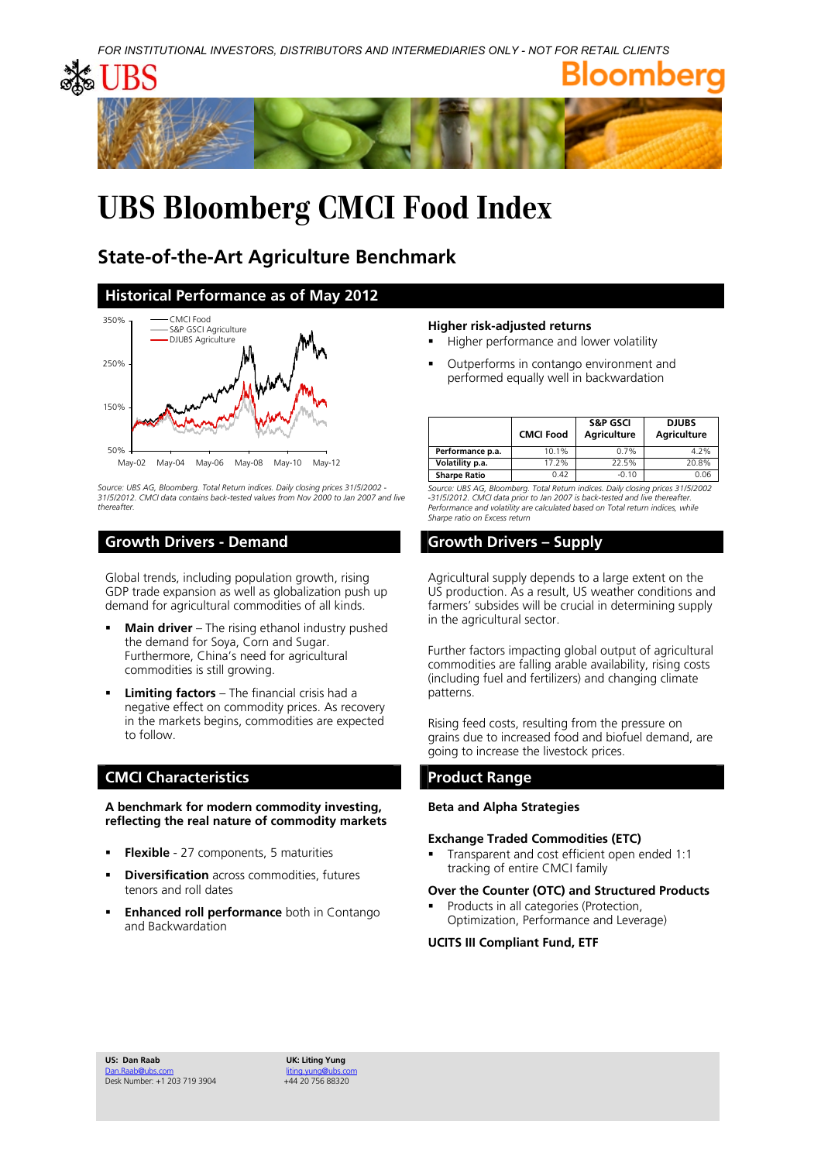

# **UBS Bloomberg CMCI Food Index**

## **State-of-the-Art Agriculture Benchmark**

### **Historical Performance as of May 2012**



*Source: UBS AG, Bloomberg. Total Return indices. Daily closing prices 31/5/2002 - 31/5/2012. CMCI data contains back-tested values from Nov 2000 to Jan 2007 and live thereafter.* 

### **Growth Drivers - Demand Growth Drivers - Supply**

Global trends, including population growth, rising GDP trade expansion as well as globalization push up demand for agricultural commodities of all kinds.

- **Main driver** The rising ethanol industry pushed the demand for Soya, Corn and Sugar. Furthermore, China's need for agricultural commodities is still growing.
- **Limiting factors** The financial crisis had a negative effect on commodity prices. As recovery in the markets begins, commodities are expected to follow.

### **CMCI Characteristics CMCI Product Range 2018**

**A benchmark for modern commodity investing, reflecting the real nature of commodity markets** 

- **Flexible** 27 components, 5 maturities
- **Diversification** across commodities, futures tenors and roll dates
- **Enhanced roll performance** both in Contango and Backwardation

### **Higher risk-adjusted returns**

- Higher performance and lower volatility
- Outperforms in contango environment and performed equally well in backwardation

|                     | <b>CMCI Food</b> | <b>S&amp;P GSCI</b><br><b>Agriculture</b> | <b>DJUBS</b><br><b>Agriculture</b> |
|---------------------|------------------|-------------------------------------------|------------------------------------|
| Performance p.a.    | 10.1%            | 0.7%                                      | 4.2%                               |
| Volatility p.a.     | 17.2%            | 22.5%                                     | 20.8%                              |
| <b>Sharpe Ratio</b> | 0.42             | $-0.10$                                   | 0.06                               |

*Source: UBS AG, Bloomberg. Total Return indices. Daily closing prices 31/5/2002 -31/5/2012. CMCI data prior to Jan 2007 is back-tested and live thereafter. Performance and volatility are calculated based on Total return indices, while Sharpe ratio on Excess return* 

Agricultural supply depends to a large extent on the US production. As a result, US weather conditions and farmers' subsides will be crucial in determining supply in the agricultural sector.

Further factors impacting global output of agricultural commodities are falling arable availability, rising costs (including fuel and fertilizers) and changing climate patterns.

Rising feed costs, resulting from the pressure on grains due to increased food and biofuel demand, are going to increase the livestock prices.

### **Beta and Alpha Strategies**

### **Exchange Traded Commodities (ETC)**

 Transparent and cost efficient open ended 1:1 tracking of entire CMCI family

### **Over the Counter (OTC) and Structured Products**

 Products in all categories (Protection, Optimization, Performance and Leverage)

### **UCITS III Compliant Fund, ETF**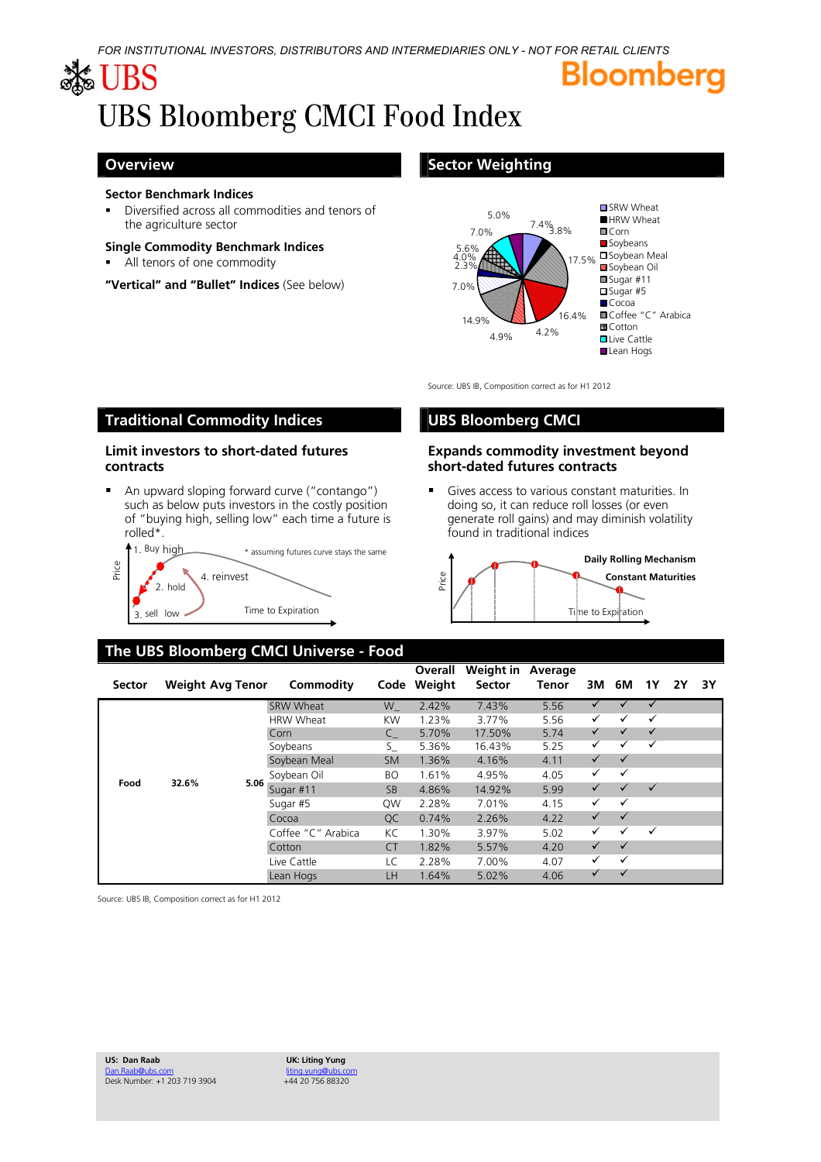# Bloomberg

# ≴ UBS UBS Bloomberg CMCI Food Index

**contracts** 

rolled\*.

Price

3. sell low

2. hold

### **Sector Benchmark Indices**

 Diversified across all commodities and tenors of the agriculture sector

### **Single Commodity Benchmark Indices**

All tenors of one commodity

**"Vertical" and "Bullet" Indices** (See below)

**Limit investors to short-dated futures** 

4. reinvest

■ An upward sloping forward curve ("contango") such as below puts investors in the costly position of "buying high, selling low" each time a future is

## **Overview Sector Weighting Coverview Sector Weighting**



Source: UBS IB, Composition correct as for H1 2012

## **Traditional Commodity Indices UBS Bloomberg CMCI**

### **Expands commodity investment beyond short-dated futures contracts**

 Gives access to various constant maturities. In doing so, it can reduce roll losses (or even generate roll gains) and may diminish volatility found in traditional indices



## **The UBS Bloomberg CMCI Universe - Food**

1. Buy high \*\* assuming futures curve stays the same

| Sector | <b>Weight Avg Tenor</b> |      | Commodity          | Code      | Overall<br>Weight | Weight in<br><b>Sector</b> | Average<br>Tenor | ЗM           | 6M           | 1Υ           | 2Y | 3Υ |
|--------|-------------------------|------|--------------------|-----------|-------------------|----------------------------|------------------|--------------|--------------|--------------|----|----|
| Food   |                         |      | SRW Wheat          | W         | 2.42%             | 7.43%                      | 5.56             | ✓            |              | $\checkmark$ |    |    |
|        |                         |      | <b>HRW Wheat</b>   | KW        | 1.23%             | 3.77%                      | 5.56             | ✓            | ✓            | $\checkmark$ |    |    |
|        |                         |      | Corn               | C         | 5.70%             | 17.50%                     | 5.74             | $\checkmark$ |              | $\checkmark$ |    |    |
|        |                         |      | Soybeans           | S_        | 5.36%             | 16.43%                     | 5.25             | ✓            |              | $\checkmark$ |    |    |
|        | 32.6%                   |      | Soybean Meal       | <b>SM</b> | 1.36%             | 4.16%                      | 4.11             | $\checkmark$ | $\checkmark$ |              |    |    |
|        |                         |      | Soybean Oil        | <b>BO</b> | 1.61%             | 4.95%                      | 4.05             | ✓            | ✓            |              |    |    |
|        |                         | 5.06 | Sugar #11          | <b>SB</b> | 4.86%             | 14.92%                     | 5.99             | $\checkmark$ |              | $\checkmark$ |    |    |
|        |                         |      | Sugar #5           | QW        | 2.28%             | 7.01%                      | 4.15             | ✓            | $\checkmark$ |              |    |    |
|        |                         |      | Cocoa              | OC.       | 0.74%             | 2.26%                      | 4.22             | $\checkmark$ | $\checkmark$ |              |    |    |
|        |                         |      | Coffee "C" Arabica | КC        | 1.30%             | 3.97%                      | 5.02             | ✓            | ✓            | $\checkmark$ |    |    |
|        |                         |      | Cotton             | CT.       | 1.82%             | 5.57%                      | 4.20             | $\checkmark$ | $\checkmark$ |              |    |    |
|        |                         |      | Live Cattle        | LC        | 2.28%             | 7.00%                      | 4.07             | ✓            | $\checkmark$ |              |    |    |
|        |                         |      | Lean Hogs          | ΙH        | 1.64%             | 5.02%                      | 4.06             | ✓            |              |              |    |    |

Source: UBS IB, Composition correct as for H1 2012